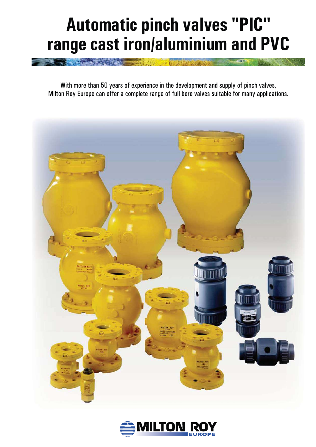# **Automatic pinch valves "PIC" range cast iron/aluminium and PVC**

With more than 50 years of experience in the development and supply of pinch valves, Milton Roy Europe can offer a complete range of full bore valves suitable for many applications.



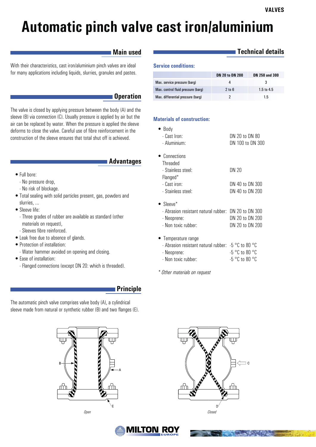# **Automatic pinch valve cast iron/aluminium**

## **Main used**

With their characteristics, cast iron/aluminium pinch valves are ideal for many applications including liquids, slurries, granules and pastes.

#### **Operation**

The valve is closed by applying pressure between the body (A) and the sleeve (B) via connection (C). Usually pressure is applied by air but the air can be replaced by water. When the pressure is applied the sleeve deforms to close the valve. Careful use of fibre reinforcement in the construction of the sleeve ensures that total shut off is achieved.

#### **Advantages**

- Full bore:
	- No pressure drop,
	- No risk of blockage.
- Total sealing with solid particles present, gas, powders and slurries, ...
- Sleeve life:
	- Three grades of rubber are available as standard (other materials on request),
	- Sleeves fibre reinforced.
- Leak free due to absence of glands.
- Protection of installation:
	- Water hammer avoided on opening and closing.
- Ease of installation:
- Flanged connections (except DN 20: which is threaded).

## **Principle**

The automatic pinch valve comprises valve body (A), a cylindrical sleeve made from natural or synthetic rubber (B) and two flanges (E).





# **Technical details**

#### **Service conditions:**

|                                    | <b>DN 20 to DN 200</b> | DN 250 and 300 |
|------------------------------------|------------------------|----------------|
| Max. service pressure (barg)       |                        |                |
| Max. control fluid pressure (barg) | 2 to 6                 | $1.5$ to $4.5$ |
| Max. differential pressure (barg)  |                        | 1.5            |

#### **Materials of construction:**

| $\bullet$ Body<br>- Cast Iron:<br>- Aluminium:                                                                   | DN 20 to DN 80<br>DN 100 to DN 300                       |
|------------------------------------------------------------------------------------------------------------------|----------------------------------------------------------|
| • Connections<br>Threaded<br>- Stainless steel:                                                                  | <b>DN 20</b>                                             |
| Flanged*<br>- Cast iron:<br>- Stainless steel:                                                                   | DN 40 to DN 300<br>DN 40 to DN 200                       |
| $\bullet$ Sleeve*<br>- Abrasion resistant natural rubber: DN 20 to DN 300<br>- Neoprene:<br>- Non toxic rubber:  | DN 20 to DN 200<br>DN 20 to DN 200                       |
| • Temperature range<br>- Abrasion resistant natural rubber: -5 °C to 80 °C<br>- Neoprene:<br>- Non toxic rubber: | $-5$ $^{\circ}$ C to 80 $^{\circ}$ C<br>$-5$ °C to 80 °C |

*\* Other materials on request*



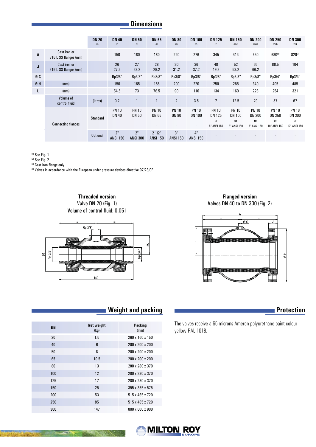# **Dimensions**

|    |                                              | <b>DN 20</b><br>(1) | <b>DN 40</b><br>(2)               | <b>DN 50</b><br>(2)          | <b>DN 65</b><br>(2)          | <b>DN 80</b><br>(2)          | <b>DN 100</b><br>(2)               | <b>DN 125</b><br>(2)                                          | <b>DN 150</b><br>(2)(4)                                   | <b>DN 200</b><br>(2)(4)                                   | <b>DN 250</b><br>(2)(4)                                    | <b>DN 300</b><br>(2)(4)                                    |
|----|----------------------------------------------|---------------------|-----------------------------------|------------------------------|------------------------------|------------------------------|------------------------------------|---------------------------------------------------------------|-----------------------------------------------------------|-----------------------------------------------------------|------------------------------------------------------------|------------------------------------------------------------|
| A  | Cast iron or<br>316 L SS flanges (mm)        |                     | 150                               | 180                          | 180                          | 220                          | 276                                | 345                                                           | 414                                                       | 550                                                       | 680(3)                                                     | 820(3)                                                     |
| J  | <b>Cast iron or</b><br>316 L SS flanges (mm) |                     | 26<br>27.2                        | 27<br>28.2                   | 28<br>29.2                   | 30<br>31.2                   | 36<br>37.2                         | 48<br>49.2                                                    | 52<br>53.2                                                | 65<br>66.2                                                | 88.5<br>$\overline{\phantom{a}}$                           | 104<br>$\overline{\phantom{a}}$                            |
| ØC |                                              |                     | Rp3/8"                            | Rp3/8"                       | Rp3/8"                       | Rp3/8"                       | Rp3/8"                             | Rp3/8"                                                        | Rp3/8"                                                    | Rp3/8"                                                    | Rp3/4"                                                     | Rp3/4"                                                     |
| 0H | (mm)                                         |                     | 150                               | 165                          | 185                          | 200                          | 220                                | 250                                                           | 285                                                       | 340                                                       | 405                                                        | 485                                                        |
| L  | (mm)                                         |                     | 54.5                              | 73                           | 76.5                         | 90                           | 110                                | 134                                                           | 160                                                       | 223                                                       | 254                                                        | 321                                                        |
|    | Volume of<br>control fluid                   | (litres)            | 0.2                               |                              | $\mathbf{1}$                 | $\overline{2}$               | 3.5                                | $\overline{7}$                                                | 12.5                                                      | 29                                                        | 37                                                         | 67                                                         |
|    | <b>Connecting flanges</b>                    | Standard            | <b>PN 10</b><br><b>DN 40</b><br>٠ | <b>PN 10</b><br><b>DN 50</b> | <b>PN 10</b><br><b>DN 65</b> | <b>PN 10</b><br><b>DN 80</b> | <b>PN 10</b><br><b>DN 100</b><br>٠ | <b>PN 10</b><br><b>DN 125</b><br><sub>0r</sub><br>5"-ANSI 150 | <b>PN 10</b><br><b>DN 150</b><br><b>or</b><br>6"-ANSI 150 | <b>PN 10</b><br><b>DN 200</b><br><b>or</b><br>8"-ANSI 150 | <b>PN 10</b><br><b>DN 250</b><br><b>or</b><br>10"-ANSI 150 | <b>PN 16</b><br><b>DN 300</b><br><b>or</b><br>12"-ANSI 150 |
|    |                                              | <b>Optional</b>     | 2"<br><b>ANSI 150</b>             | 2"<br><b>ANSI 300</b>        | 2 1/2"<br><b>ANSI 150</b>    | 3"<br><b>ANSI 150</b>        | 4"<br><b>ANSI 150</b>              |                                                               |                                                           |                                                           |                                                            |                                                            |

(1) See Fig. 1

(2) See Fig. 2

(3) Cast iron flange only

(4) Valves in accordance with the European under pressure devices directive 97/23/CE

**Threaded version** Valve DN 20 (Fig. 1) Volume of control fluid: 0.05 l



**Flanged version** Valves DN 40 to DN 300 (Fig. 2)



The valves receive a 65 microns Ameron polyurethane paint colour  $y$ ellow RAL 1018.

# **N** Weight and packing **Protection**

| <b>DN</b> | <b>Net weight</b><br>(kg) | <b>Packing</b><br>(mm)      |
|-----------|---------------------------|-----------------------------|
| 20        | 1.5                       | 260 x 160 x 150             |
| 40        | 6                         | 200 x 200 x 200             |
| 50        | 8                         | 200 x 200 x 200             |
| 65        | 10.5                      | 200 x 200 x 200             |
| 80        | 13                        | 280 x 280 x 370             |
| 100       | 12                        | 280 x 280 x 370             |
| 125       | 17                        | 280 x 280 x 370             |
| 150       | 25                        | 355 x 355 x 575             |
| 200       | 53                        | 515 x 465 x 720             |
| 250       | 85                        | $515 \times 465 \times 720$ |
| 300       | 147                       | 800 x 600 x 900             |